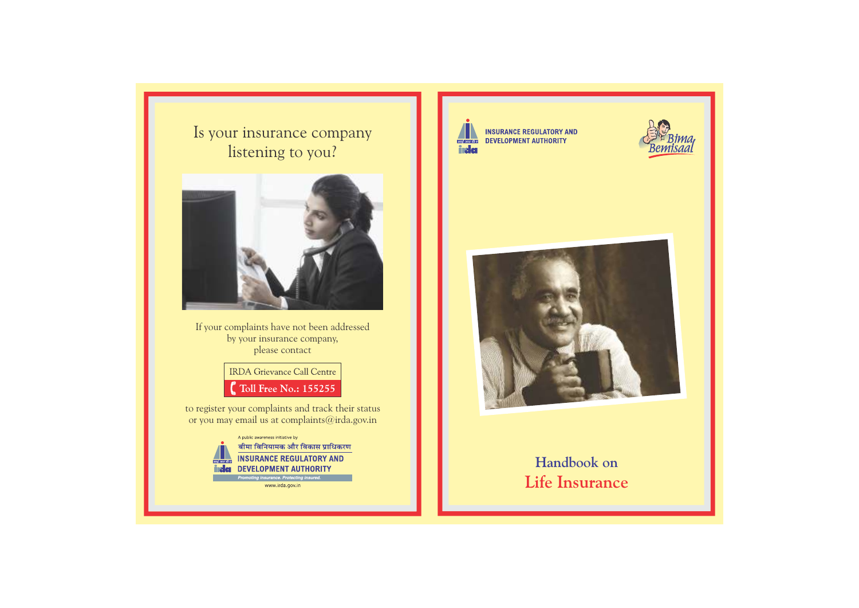Is your insurance company listening to you?



If your complaints have not been addressed by your insurance company, please contact

> **IRDA** Grievance Call Centre Toll Free No.: 155255

to register your complaints and track their status or you may email us at complaints@irda.gov.in

> A public awareness initiative by बीमा विनियामक और विकास प्राधिकरण **INSURANCE REGULATORY AND** incles DEVELOPMENT AUTHORITY moting insurance. Protecting insured

> > www.irda.gov.in



**INSURANCE REGULATORY AND** DEVELOPMENT AUTHORITY





# **Handbook on Life Insurance**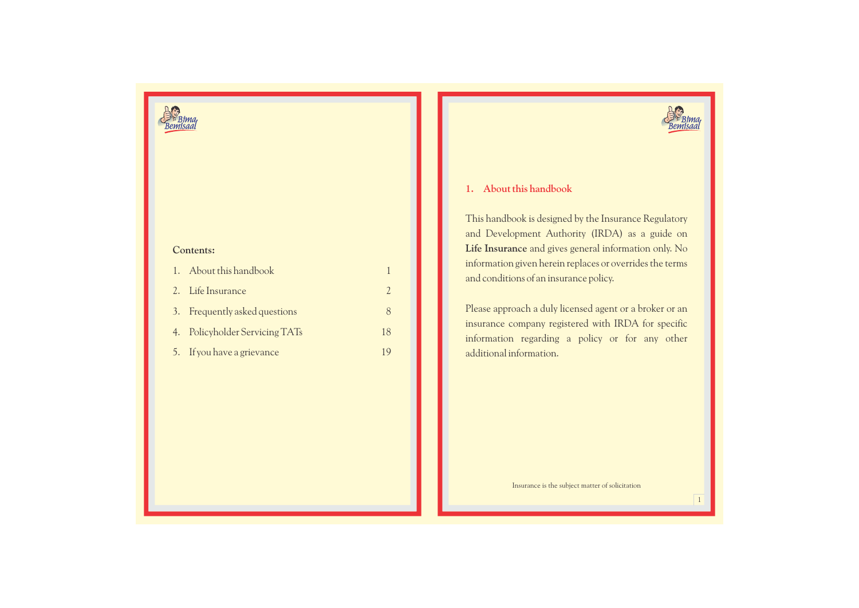

## **Contents:**

| 1. About this handbook         |     |
|--------------------------------|-----|
| 2. Life Insurance              |     |
| 3. Frequently asked questions  | Χ   |
| 4. Policyholder Servicing TATs | 18  |
| 5. If you have a grievance     | 1 Q |



## **1. About this handbook**

This handbook is designed by the Insurance Regulatory and Development Authority (IRDA) as a guide on **Life Insurance** and gives general information only. No information given herein replaces or overrides the terms and conditions of an insurance policy.

Please approach a duly licensed agent or a broker or an insurance company registered with IRDA for specific information regarding a policy or for any other additional information.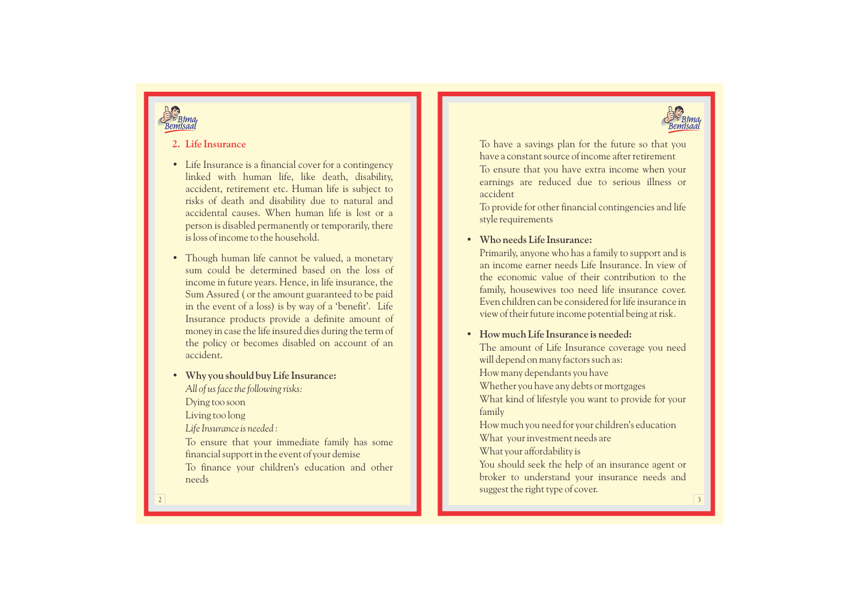



## **2. Life Insurance**

- Life Insurance is a financial cover for a contingency linked with human life, like death, disability, accident, retirement etc. Human life is subject to risks of death and disability due to natural and accidental causes. When human life is lost or a person is disabled permanently or temporarily, there is loss of income to the household.
- Though human life cannot be valued, a monetary sum could be determined based on the loss of income in future years. Hence, in life insurance, the Sum Assured ( or the amount guaranteed to be paid in the event of a loss) is by way of a 'benefit'. Life Insurance products provide a definite amount of money in case the life insured dies during the term of the policy or becomes disabled on account of an accident.

**• Why you should buy Life Insurance:** *All of us face the following risks:* Dying too soon Living too long *Life Insurance is needed :* To ensure that your immediate family has some financial support in the event of your demise To finance your children's education and other needs

To have a savings plan for the future so that you have a constant source of income after retirement To ensure that you have extra income when your earnings are reduced due to serious illness or accident

To provide for other financial contingencies and life style requirements

## **• Who needs Life Insurance:**

Primarily, anyone who has a family to support and is an income earner needs Life Insurance. In view of the economic value of their contribution to the family, housewives too need life insurance cover. Even children can be considered for life insurance in view of their future income potential being at risk .

## **• How much Life Insurance is needed:**

The amount of Life Insurance coverage you need will depend on many factors such as: How many dependants you have Whether you have any debts or mortgages What kind of lifestyle you want to provide for your family How much you need for your children's education What your investment needs are What your affordability is You should seek the help of an insurance agent or

broker to understand your insurance needs and suggest the right type of cover.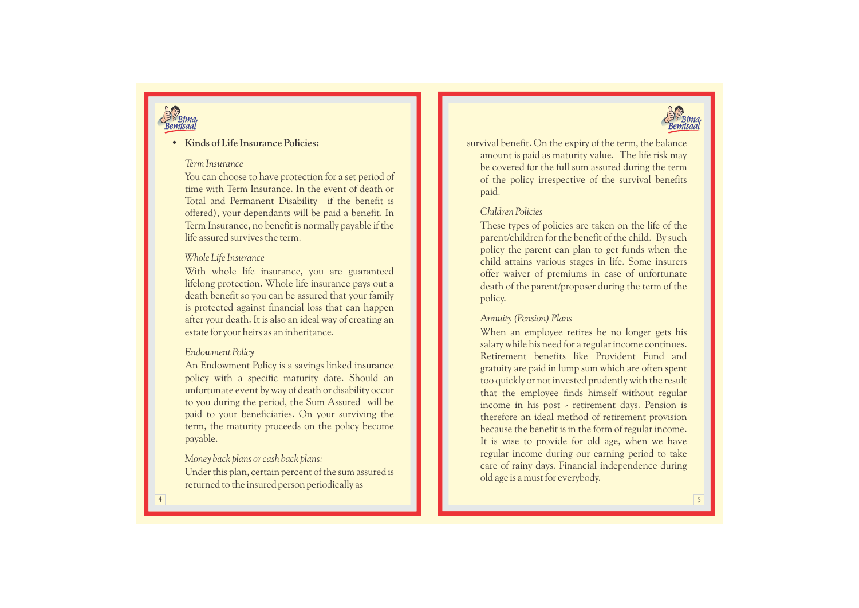

## **• Kinds of Life Insurance Policies:**

## *Term Insurance*

You can choose to have protection for a set period of time with Term Insurance. In the event of death or Total and Permanent Disability if the benefit is offered), your dependants will be paid a benefit. In Term Insurance, no benefit is normally payable if the life assured survives the term.

## *Whole Life Insurance*

With whole life insurance, you are guaranteed lifelong protection. Whole life insurance pays out a death benefit so you can be assured that your family is protected against financial loss that can happen after your death. It is also an ideal way of creating an estate for your heirs as an inheritance.

## *Endowment Policy*

An Endowment Policy is a savings linked insurance policy with a specific maturity date. Should an unfortunate event by way of death or disability occur to you during the period, the Sum Assured will be paid to your beneficiaries. On your surviving the term, the maturity proceeds on the policy become payable.

## *Money back plans or cash back plans:*

Under this plan, certain percent of the sum assured is returned to the insured person periodically as

survival benefit. On the expiry of the term, the balance amount is paid as maturity value. The life risk may be covered for the full sum assured during the term of the policy irrespective of the survival benefits paid.

## *Children Policies*

These types of policies are taken on the life of the parent/children for the benefit of the child. By such policy the parent can plan to get funds when the child attains various stages in life. Some insurers offer waiver of premiums in case of unfortunate death of the parent/proposer during the term of the policy.

## *Annuity (Pension) Plans*

When an employee retires he no longer gets his salary while his need for a regular income continues. Retirement benefits like Provident Fund and gratuity are paid in lump sum which are often spent too quickly or not invested prudently with the result that the employee finds himself without regular income in his post - retirement days. Pension is therefore an ideal method of retirement provision because the benefit is in the form of regular income. It is wise to provide for old age, when we have regular income during our earning period to take care of rainy days. Financial independence during old age is a must for everybody.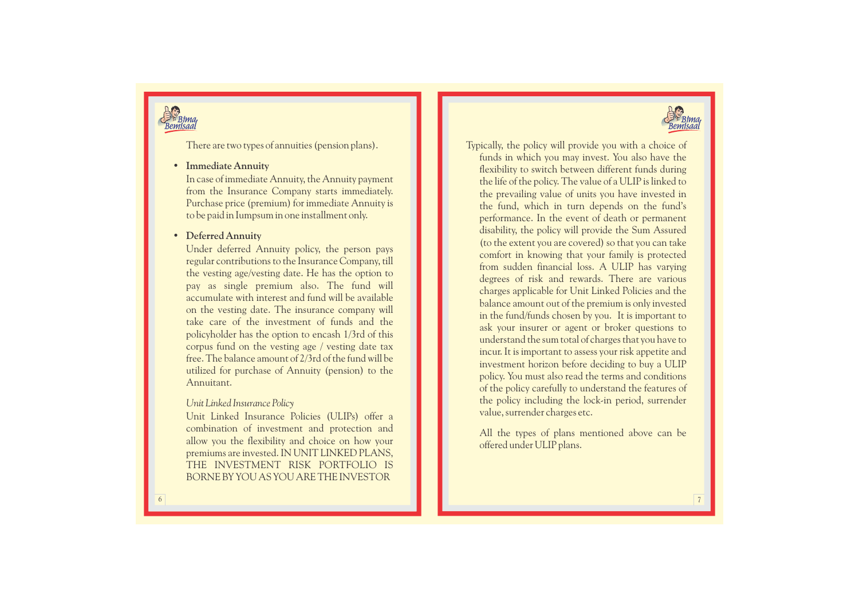

There are two types of annuities (pension plans).

## • **Immediate Annuity**

In case of immediate Annuity, the Annuity payment from the Insurance Company starts immediately. Purchase price (premium) for immediate Annuity is to be paid in Iumpsum in one installment only.

## • **Deferred Annuity**

Under deferred Annuity policy, the person pays regular contributions to the Insurance Company, till the vesting age/vesting date. He has the option to pay as single premium also. The fund will accumulate with interest and fund will be available on the vesting date. The insurance company will take care of the investment of funds and the policyholder has the option to encash 1/3rd of this corpus fund on the vesting age / vesting date tax free. The balance amount of 2/3rd of the fund will be utilized for purchase of Annuity (pension) to the Annuitant.

## *Unit Linked Insurance Policy*

Unit Linked Insurance Policies (ULIPs) offer a combination of investment and protection and allow you the flexibility and choice on how your premiums are invested. IN UNIT LINKED PLANS, THE INVESTMENT RISK PORTFOLIO IS BORNE BY YOU AS YOU ARE THE INVESTOR

Typically, the policy will provide you with a choice of

funds in which you may invest. You also have the flexibility to switch between different funds during the life of the policy. The value of a ULIP is linked to the prevailing value of units you have invested in the fund, which in turn depends on the fund's performance. In the event of death or permanent disability, the policy will provide the Sum Assured (to the extent you are covered) so that you can take comfort in knowing that your family is protected from sudden financial loss. A ULIP has varying degrees of risk and rewards. There are various charges applicable for Unit Linked Policies and the balance amount out of the premium is only invested in the fund/funds chosen by you. It is important to ask your insurer or agent or broker questions to understand the sum total of charges that you have to incur. It is important to assess your risk appetite and investment horizon before deciding to buy a ULIP policy. You must also read the terms and conditions of the policy carefully to understand the features of the policy including the lock-in period, surrender value, surrender charges etc.

All the types of plans mentioned above can be offered under ULIP plans.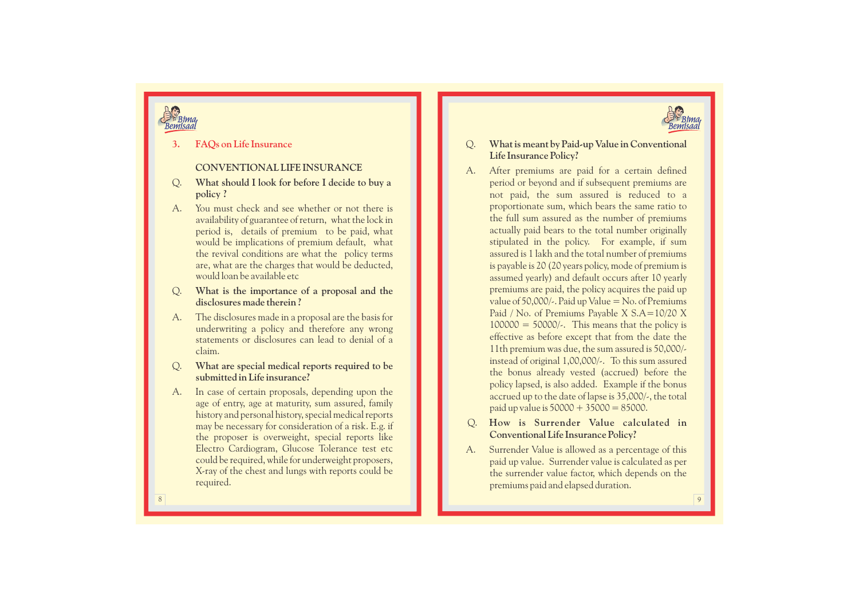

# *ima*

## **3. F AQs on Life Insurance**

## **CONVENTIONAL LIFE INSURANCE**

- Q. **What should I look for before I decide to buy a policy ?**
- A. You must check and see whether or not there is availability of guarantee of return, what the lock in period is, details of premium to be paid, what would be implications of premium default, what the revival conditions are what the policy terms are, what are the charges that would be deducted, would loan be available etc
- Q. **What is the importance of a proposal and the disclosures made therein ?**
- A. The disclosures made in a proposal are the basis for underwriting a policy and therefore any wrong statements or disclosures can lead to denial of a claim.
- Q. **What are special medical reports required to be submitted in Life insurance?**
- A. In case of certain proposals, depending upon the age of entry, age at maturity, sum assured, family history and personal history, special medical reports may be necessary for consideration of a risk. E.g. if the proposer is overweight, special reports like Electro Cardiogram, Glucose Tolerance test etc could be required, while for underweight proposers, X-ray of the chest and lungs with reports could be required.
- $\mathcal{Q}$ . . **What is meant by Paid-up Value in Conventional Life Insurance Policy?**
- A. After premiums are paid for a certain defined period or beyond and if subsequent premiums are not paid, the sum assured is reduced to a proportionate sum, which bears the same ratio to the full sum assured as the number of premiums actually paid bears to the total number originally stipulated in the policy. For example, if sum assured is 1 lakh and the total number of premiums is payable is 20 (20 years policy, mode of premium is assumed yearly) and default occurs after 10 yearly premiums are paid, the policy acquires the paid up value of 50,000/-. Paid up Value  $=$  No. of Premiums Paid / No. of Premiums Payable X S.A=10/20 X  $100000 = 50000/$ . This means that the policy is effective as before e xcept that from the date the 11th premium was due, the sum assured is 50,000/ instead of original 1,00,000/-. To this sum assured the bonus already vested (accrued) before the policy lapsed, is also added. Example if the bonus accrued up to the date of lapse is 35,000/-, the total paid up value is  $50000 + 35000 = 85000$ .
- Q . How is Surrender Value calculated in **Conventional Life Insurance Policy?**
- A. Surrender Value is allowed as a percentage of this paid up value. Surrender value is calculated as per the surrender value factor, which depends on the premiums paid and elapsed duration.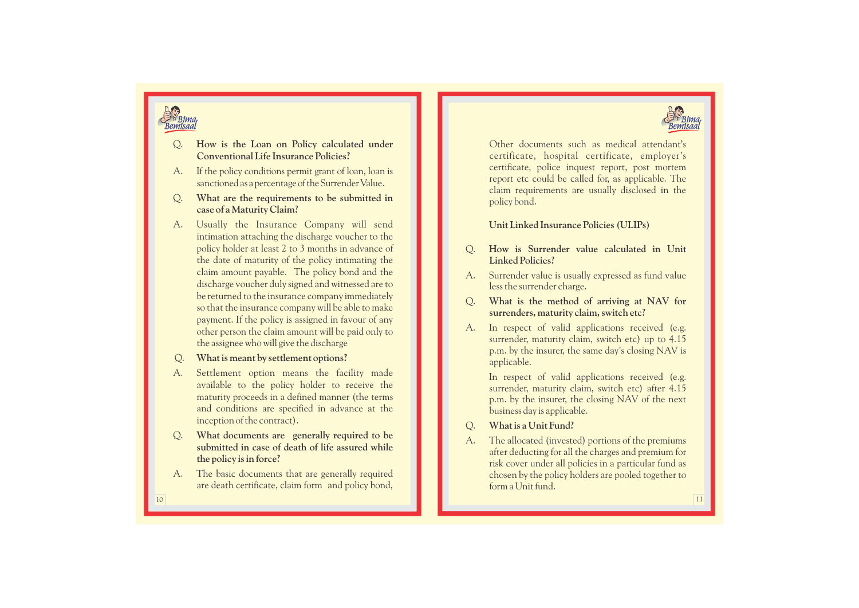



- **Conventional Life Insurance Policies?**
- A. If the policy conditions permit grant of loan, loan is sanctioned as a percentage of the Surrender Value.
- $Q_{\cdot}$ . **What are the requirements to be submitted in case of a Maturity Claim?**
- <table>\n<tbody>\n<tr>\n<td>2. One is the <i>Local</i> and <i>triangle</i> and <i>triangle</i> and <i>triangle</i> are the required and <i>triangle</i> and <i>triangle</i> are the required to be a particular present paper, and <i>triangle</i> and <i>triangle</i> are the required for the object in a chapter, the object is a different open. Now, how we have a more important one of the object in a chapter, which is the same, the object is a different open. Now, how we have a more important one of the object in a chapter, which is the same, the object is a different open. Now, we have a more important one of the object in a chapter, which is the same, the object is a different open. Now, we have a more important one of the object is a different open. Now, we have a more important one of the object is a A. Usually the Insurance Company will send intimation attaching the discharge voucher to the policy holder at least 2 to 3 months in advance of the date of maturity of the policy intimating the claim amount payable. The policy bond and the discharge voucher duly signed and witnessed are to be returned to the insurance company immediately so that the insurance company will be able to make payment. If the policy is assigned in favour of any other person the claim amount will be paid only to the assignee who will give the discharge
	- Q. **What is meant by settlement options?**
	- A. Settlement option means the facility made available to the policy holder to receive the maturity proceeds in a defined manner (the terms and conditions are specified in advance at the inception of the contract).
	- Q. **What documents are generally required to be submitted in case of death of life assured while the policy is in force?**
	- A. The basic documents that are generally required are death certificate, claim form and policy bond,

Other documents such as medical attendant's certificate, hospital certificate, employer's certificate, police inquest report, post mortem report etc could be called for, as applicable. The claim requirements are usually disclosed in the policy bond.

**Unit Linked Insurance Policies (ULIPs)**

- Q. **How is Surrender value calculated in Unit Linked Policies?**
- A. Surrender value is usually expressed as fund value less the surrender charge.
- $O<sub>1</sub>$ . **What is the method of arriving at NAV for surrenders, maturity claim, switch etc?**
- A. In respect of valid applications received (e.g. surrender, maturity claim, switch etc) up to 4.15 p.m. by the insurer, the same day's closing NAV is applicable.

In respect of valid applications received (e.g. surrender, maturity claim, switch etc) after 4.15 p.m. by the insurer, the closing NAV of the next business day is applicable.

## Q. **What is a Unit Fund?**

A. The allocated (invested) portions of the premiums after deducting for all the charges and premium for risk cover under all policies in a particular fund as chosen by the policy holders are pooled together to form a Unit fund.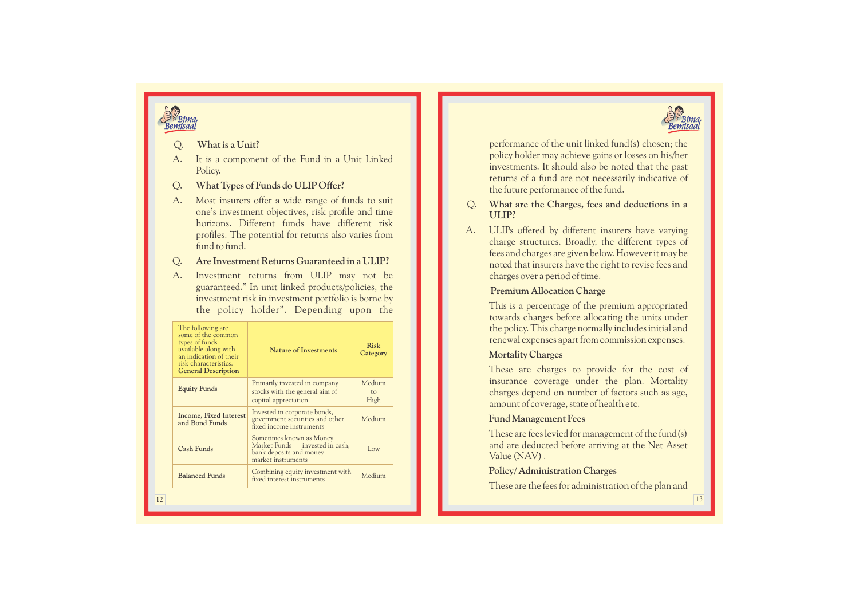

# **Bima**

- A. It is a component of the Fund in a Unit Linked Policy.
- Q. **What Types of Funds do ULIP Offer?**
- A. Most insurers offer a wide range of funds to suit one's investment objectives, risk profile and time horizons. Different funds have different risk profiles. The potential for returns also varies from fund to fund.

## Q. **Are Investment Returns Guaranteed in a ULIP?**

| What is a Unit?<br>Q.<br>A.<br>It is a component of the Fund in a Unit Linked<br>Policy.<br>What Types of Funds do ULIP Offer?<br>Q.<br>A.<br>Most insurers offer a wide range of funds to suit<br>one's investment objectives, risk profile and time<br>horizons. Different funds have different risk<br>profiles. The potential for returns also varies from<br>fund to fund.<br>Are Investment Returns Guaranteed in a ULIP?<br>Q.<br>A.<br>Investment returns from ULIP may not be |                                                                                                                                                                                     |                         |
|----------------------------------------------------------------------------------------------------------------------------------------------------------------------------------------------------------------------------------------------------------------------------------------------------------------------------------------------------------------------------------------------------------------------------------------------------------------------------------------|-------------------------------------------------------------------------------------------------------------------------------------------------------------------------------------|-------------------------|
| The following are<br>some of the common<br>types of funds<br>available along with<br>an indication of their<br>risk characteristics.<br><b>General Description</b>                                                                                                                                                                                                                                                                                                                     | guaranteed." In unit linked products/policies, the<br>investment risk in investment portfolio is borne by<br>the policy holder". Depending upon the<br><b>Nature of Investments</b> | <b>Risk</b><br>Category |
| <b>Equity Funds</b>                                                                                                                                                                                                                                                                                                                                                                                                                                                                    | Primarily invested in company<br>stocks with the general aim of<br>capital appreciation                                                                                             | Medium<br>to<br>High    |
| Income, Fixed Interest<br>and Bond Funds                                                                                                                                                                                                                                                                                                                                                                                                                                               | Invested in corporate bonds,<br>government securities and other<br>fixed income instruments                                                                                         | Medium                  |
| <b>Cash Funds</b>                                                                                                                                                                                                                                                                                                                                                                                                                                                                      | Sometimes known as Money<br>Market Funds - invested in cash,<br>bank deposits and money<br>market instruments                                                                       | Low                     |
|                                                                                                                                                                                                                                                                                                                                                                                                                                                                                        |                                                                                                                                                                                     |                         |
| <b>Balanced Funds</b>                                                                                                                                                                                                                                                                                                                                                                                                                                                                  | Combining equity investment with<br>fixed interest instruments                                                                                                                      | Medium                  |

performance of the unit linked fund(s) chosen; the policy holder may achieve gains or losses on his/her investments. It should also be noted that the past returns of a fund are not necessarily indicative of the future performance of the fund.

- $O<sub>1</sub>$ . **What are the Charges, fees and deductions in a ULIP?**
- A. ULIPs offered by different insurers have varying charge structures. Broadly, the different types of fees and charges are given below. However it may be noted that insurers have the right to revise fees and charges over a period of time.

## **Premium Allocation Charge**

## **Mortality Charges**

## **Fund Management Fees**

## **Policy/ Administration Charges**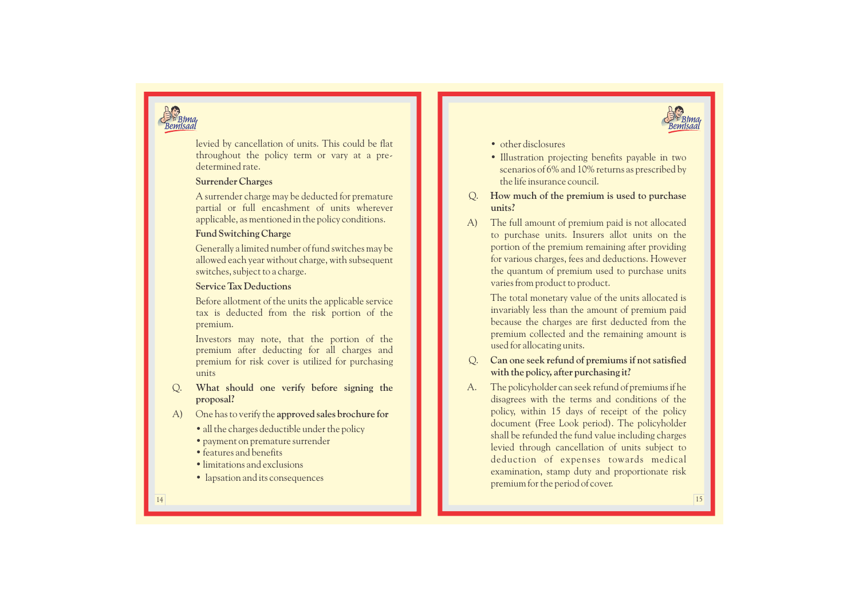



levied by cancellation of units. This could be flat throughout the policy term or vary at a pre determined rate.

## **Surrender Charges**

A surrender charge may be deducted for premature partial or full encashment of units wherever applicable, as mentioned in the policy conditions.

## **Fund Switching Charge**

Generally a limited number of fund switches may be allowed each year without charge, with subsequent switches, subject to a charge.

## **Service Tax Deductions**

Before allotment of the units the applicable service tax is deducted from the risk portion of the premium.

Investors may note, that the portion of the premium after deducting for all charges and premium for risk cover is utilized for purchasing units

- Q. **What should one verify before signing the proposal?**
- A) One has to verify the **approved sales brochure for** 
	- all the charges deductible under the policy
	- payment on premature surrender
	- features and benefits
	- limitations and e xclusions
	- lapsation and its consequences
- other disclosures
- Illustration projecting benefits payable in two scenarios of 6% and 10% returns as prescribed by the life insurance council.
- Q. **How much of the premium is used to purchase units?**
- A) The full amount of premium paid is not allocated to purchase units. Insurers allot units on the portion of the premium remaining after providing for various charges, fees and deductions. However the quantum of premium used to purchase units varies from product to product.

The total monetary value of the units allocated is invariably less than the amount of premium paid because the charges are first deducted from the premium collected and the remaining amount is used for allocating units.

- Q. **Can one seek refund of premiums if not satisfied with the policy, after purchasing it?**
- A. The policyholder can seek refund of premiums if he disagrees with the terms and conditions of the policy, within 15 days of receipt of the policy document (Free Look period). The policyholder shall be refunded the fund value including charges levied through cancellation of units subject to deduction of expenses towards medical examination, stamp duty and proportionate risk premium for the period of cover.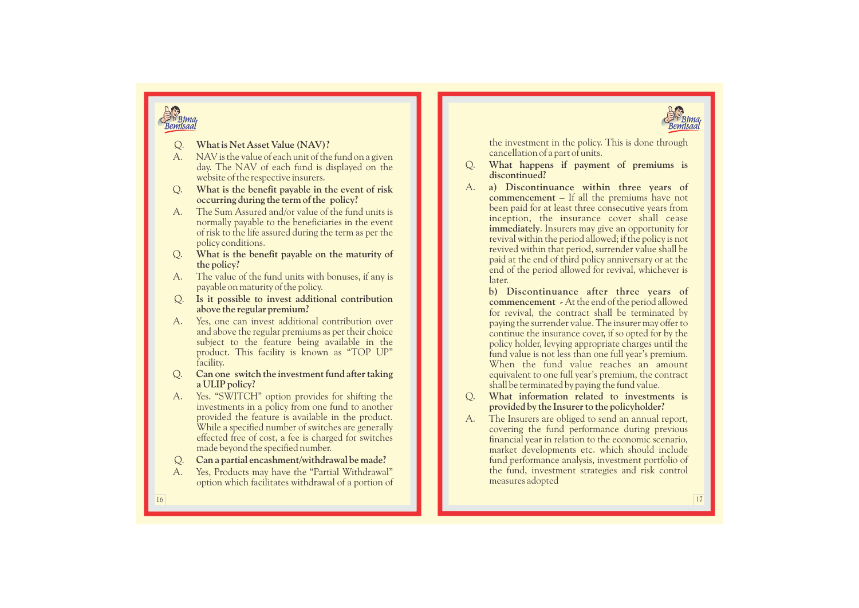



- 
- A. NAV is the value of each unit of the fund on a given day. The NAV of each fund is displayed on the website of the respective insurers.
- Q. **What is the benefit payable in the event of risk occurring during the term of the policy?**
- A. The Sum Assured and/or value of the fund units is normally payable to the beneficiaries in the event of risk to the life assured during the term as per the policy conditions.
- Q. **What is the benefit payable on the maturity of the policy?**
- A. The value of the fund units with bonuses, if any is payable on maturity of the policy.
- Q. **Is it possible to invest additional contribution above the regular premium?**
- A. Yes, one can invest additional contribution over and above the regular premiums as per their choice subject to the feature being available in the product. This facility is known as "TOP UP" facility.
- Q. **Can one switch the investment fund after taking a ULIP policy?**
- A. Yes. "SWITCH" option provides for shifting the investments in a policy from one fund to another provided the feature is available in the product. While a specified number of switches are generally effected free of cost, a fee is charged for switches made beyond the specified number.
- Q. . **Can a partial encashment/withdrawal be made?**
- A. Yes, Products may have the "Partial Withdrawal" option which facilitates withdrawal of a portion of

the investment in the policy. This is done through cancellation of a part of units.

- Q. **What happens if payment of premiums is discontinued?**
- 2. What is Net Asset Value (NAV)?<br>
A MAV is the volte of each unit of the fund on a given<br>
density the care is considered in the search of the search of the search of the search of the search of the search of the search o A. a) Discontinuance within three years of **commencement** – If all the premiums have not inception, the insurance cover shall cease **immediately**. Insurers may give an opportunity for revival within the period allowed; if the policy is not revived within that period, surrender value shall be paid at the end of third policy anniversary or at the end of the period allowed for revival, whichever is later.

b) Discontinuance after three years of **commencement -**  At the end of the period allowed for revival, the contract shall be terminated by paying the surrender value. The insurer may offer to continue the insurance cover, if so opted for by the policy holder, levying appropriate charges until the fund value is not less than one full year's premium. When the fund value reaches an amount equivalent to one full year's premium, the contract shall be terminated by paying the fund value.

- Q. **What information related to investments is provided by the Insurer to the policyholder?**
- A. The Insurers are obliged to send an annual report, covering the fund performance during previous financial year in relation to the economic scenario, market developments etc. which should include fund performance analysis, investment portfolio of the fund, investment strategies and risk control measures adopted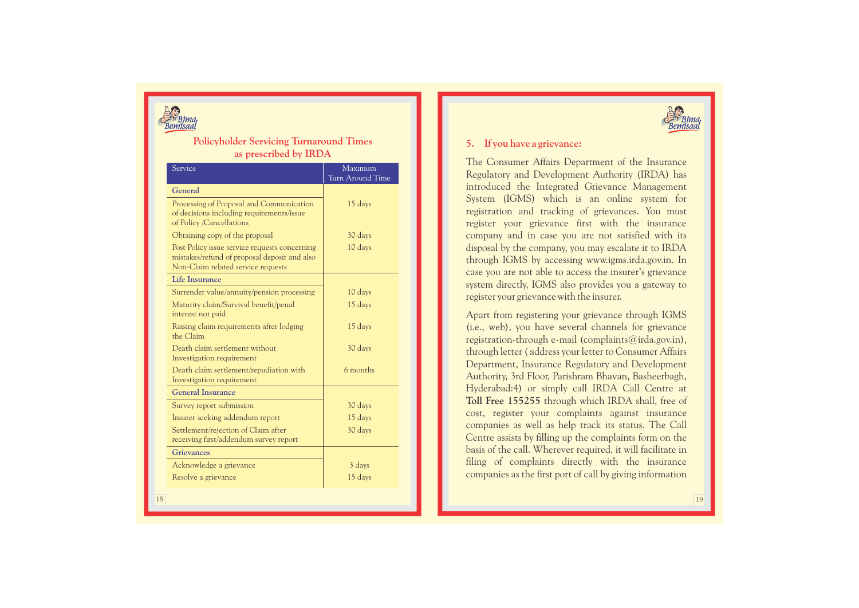

## **Policyholder Servicing Turnaround Times as prescribed by IRD A**

| Service                                                                                                                             | Maximum<br>Turn Around Time |
|-------------------------------------------------------------------------------------------------------------------------------------|-----------------------------|
| General                                                                                                                             |                             |
| Processing of Proposal and Communication<br>of decisions including requirements/issue<br>of Policy /Cancellations                   | 15 days                     |
| Obtaining copy of the proposal                                                                                                      | 30 days                     |
| Post Policy issue service requests concerning<br>mistakes/refund of proposal deposit and also<br>Non-Claim related service requests | 10 days                     |
| <b>Life Insurance</b>                                                                                                               |                             |
| Surrender value/annuity/pension processing                                                                                          | 10 days                     |
| Maturity claim/Survival benefit/penal<br>interest not paid                                                                          | 15 days                     |
| Raising claim requirements after lodging<br>the Claim                                                                               | 15 days                     |
| Death claim settlement without<br>Investigation requirement                                                                         | 30 days                     |
| Death claim settlement/repudiation with<br>Investigation requirement                                                                | 6 months                    |
| <b>General Insurance</b>                                                                                                            |                             |
| Survey report submission                                                                                                            | 30 days                     |
| Insurer seeking addendum report                                                                                                     | 15 days                     |
| Settlement/rejection of Claim after<br>receiving first/addendum survey report                                                       | 30 days                     |
| <b>Grievances</b>                                                                                                                   |                             |
| Acknowledge a grievance                                                                                                             | 3 days                      |
| Resolve a grievance                                                                                                                 | 15 days                     |



## **5. If you have a grievance:**

The Consumer Affairs Department of the Insurance Regulatory and Development Authority (IRDA) has introduced the Integrated Grievance Management System (IGMS) which is an online system for registration and tracking of grievances. You must register your grievance first with the insurance company and in case you are not satisfied with its disposal by the company, you may escalate it to IRDA through IGMS by accessing www.igms.irda.gov.in. In case you are not able to access the insurer's grievance system directly, IGMS also provides you a gateway to register your grievance with the insurer.

Apart from registering your grievance through IGMS (i.e., web), you have several channels for grievance registration-through e-mail (complaints@irda.gov.in), through letter ( address your letter to Consumer Affairs Department, Insurance Regulatory and Development Authority, 3rd Floor, Parishram Bhavan, Basheerbagh, Hyderabad:4) or simply call IRDA Call Centre at **Toll Free 155255** through which IRDA shall, free of cost, register your complaints against insurance companies as well as help track its status. The Call Centre assists by filling up the complaints form on the basis of the call. Wherever required, it will facilitate in filing of complaints directly with the insurance companies as the first port of call by giving information